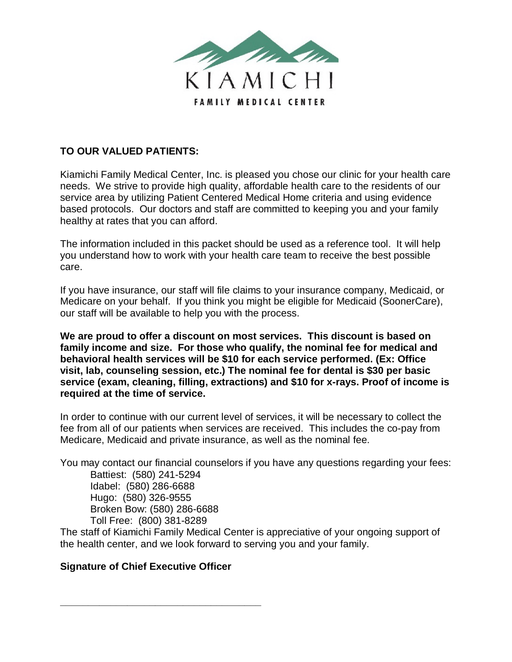

### **TO OUR VALUED PATIENTS:**

Kiamichi Family Medical Center, Inc. is pleased you chose our clinic for your health care needs. We strive to provide high quality, affordable health care to the residents of our service area by utilizing Patient Centered Medical Home criteria and using evidence based protocols. Our doctors and staff are committed to keeping you and your family healthy at rates that you can afford.

The information included in this packet should be used as a reference tool. It will help you understand how to work with your health care team to receive the best possible care.

If you have insurance, our staff will file claims to your insurance company, Medicaid, or Medicare on your behalf. If you think you might be eligible for Medicaid (SoonerCare), our staff will be available to help you with the process.

**We are proud to offer a discount on most services. This discount is based on family income and size. For those who qualify, the nominal fee for medical and behavioral health services will be \$10 for each service performed. (Ex: Office visit, lab, counseling session, etc.) The nominal fee for dental is \$30 per basic service (exam, cleaning, filling, extractions) and \$10 for x-rays. Proof of income is required at the time of service.** 

In order to continue with our current level of services, it will be necessary to collect the fee from all of our patients when services are received. This includes the co-pay from Medicare, Medicaid and private insurance, as well as the nominal fee.

You may contact our financial counselors if you have any questions regarding your fees:

Battiest: (580) 241-5294 Idabel: (580) 286-6688 Hugo: (580) 326-9555 Broken Bow: (580) 286-6688 Toll Free: (800) 381-8289

The staff of Kiamichi Family Medical Center is appreciative of your ongoing support of the health center, and we look forward to serving you and your family.

#### **Signature of Chief Executive Officer**

**\_\_\_\_\_\_\_\_\_\_\_\_\_\_\_\_\_\_\_\_\_\_\_\_\_\_\_\_\_\_\_\_\_\_\_\_**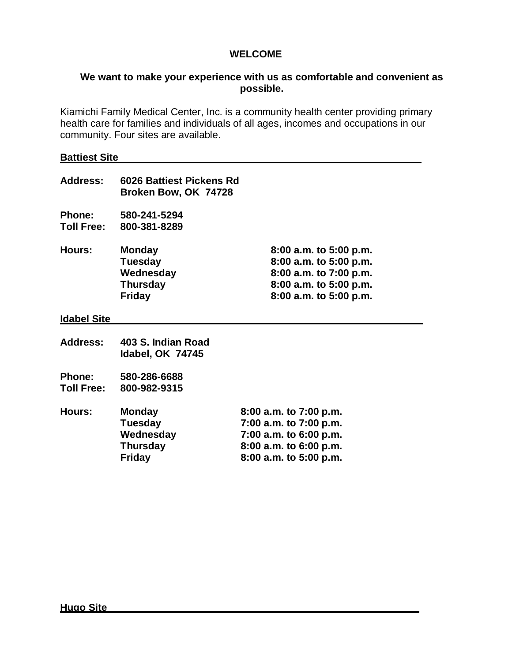#### **WELCOME**

#### **We want to make your experience with us as comfortable and convenient as possible.**

Kiamichi Family Medical Center, Inc. is a community health center providing primary health care for families and individuals of all ages, incomes and occupations in our community. Four sites are available.

#### **Battiest Site**

| Address:                           | 6026 Battiest Pickens Rd<br>Broken Bow, OK 74728                                 |                                                                                                                                    |
|------------------------------------|----------------------------------------------------------------------------------|------------------------------------------------------------------------------------------------------------------------------------|
| <b>Phone:</b><br><b>Toll Free:</b> | 580-241-5294<br>800-381-8289                                                     |                                                                                                                                    |
| <b>Hours:</b>                      | <b>Monday</b><br><b>Tuesday</b><br>Wednesday<br><b>Thursday</b><br><b>Friday</b> | $8:00$ a.m. to $5:00$ p.m.<br>8:00 a.m. to 5:00 p.m.<br>8:00 a.m. to 7:00 p.m.<br>8:00 a.m. to 5:00 p.m.<br>8:00 a.m. to 5:00 p.m. |
| <b>Idabel Site</b>                 |                                                                                  |                                                                                                                                    |
| <b>Address:</b>                    | 403 S. Indian Road<br><b>Idabel, OK 74745</b>                                    |                                                                                                                                    |
| <b>Phone:</b><br><b>Toll Free:</b> | 580-286-6688<br>800-982-9315                                                     |                                                                                                                                    |
| Hours:                             | <b>Monday</b>                                                                    | 8:00 a.m. to 7:00 p.m.                                                                                                             |

# **Tuesday 7:00 a.m. to 7:00 p.m. Wednesday 7:00 a.m. to 6:00 p.m. Thursday 8:00 a.m. to 6:00 p.m. Friday 8:00 a.m. to 5:00 p.m.**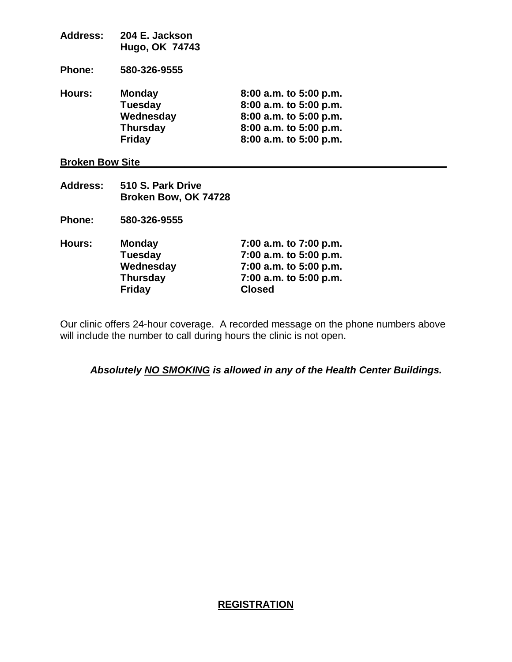| <b>Address:</b>        | 204 E. Jackson<br>Hugo, OK 74743 |                        |  |
|------------------------|----------------------------------|------------------------|--|
| <b>Phone:</b>          | 580-326-9555                     |                        |  |
| Hours:                 | <b>Monday</b>                    | 8:00 a.m. to 5:00 p.m. |  |
|                        | <b>Tuesday</b>                   | 8:00 a.m. to 5:00 p.m. |  |
|                        | Wednesday                        | 8:00 a.m. to 5:00 p.m. |  |
|                        | <b>Thursday</b>                  | 8:00 a.m. to 5:00 p.m. |  |
|                        | <b>Friday</b>                    | 8:00 a.m. to 5:00 p.m. |  |
| <b>Broken Bow Site</b> |                                  |                        |  |

- **Address: 510 S. Park Drive Broken Bow, OK 74728**
- **Phone: 580-326-9555**

| Hours: | <b>Monday</b>   | 7:00 a.m. to 7:00 p.m. |
|--------|-----------------|------------------------|
|        | <b>Tuesday</b>  | 7:00 a.m. to 5:00 p.m. |
|        | Wednesday       | 7:00 a.m. to 5:00 p.m. |
|        | <b>Thursday</b> | 7:00 a.m. to 5:00 p.m. |
|        | <b>Friday</b>   | <b>Closed</b>          |

Our clinic offers 24-hour coverage. A recorded message on the phone numbers above will include the number to call during hours the clinic is not open.

*Absolutely NO SMOKING is allowed in any of the Health Center Buildings.* 

### **REGISTRATION**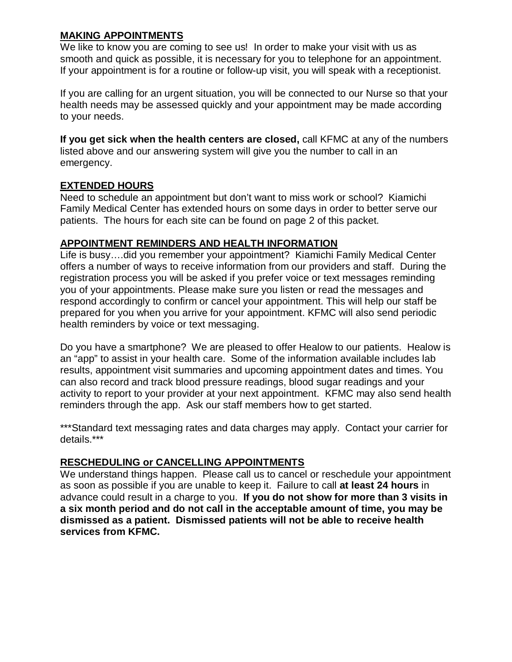#### **MAKING APPOINTMENTS**

We like to know you are coming to see us! In order to make your visit with us as smooth and quick as possible, it is necessary for you to telephone for an appointment. If your appointment is for a routine or follow-up visit, you will speak with a receptionist.

If you are calling for an urgent situation, you will be connected to our Nurse so that your health needs may be assessed quickly and your appointment may be made according to your needs.

**If you get sick when the health centers are closed,** call KFMC at any of the numbers listed above and our answering system will give you the number to call in an emergency.

#### **EXTENDED HOURS**

Need to schedule an appointment but don't want to miss work or school? Kiamichi Family Medical Center has extended hours on some days in order to better serve our patients. The hours for each site can be found on page 2 of this packet.

#### **APPOINTMENT REMINDERS AND HEALTH INFORMATION**

Life is busy….did you remember your appointment? Kiamichi Family Medical Center offers a number of ways to receive information from our providers and staff. During the registration process you will be asked if you prefer voice or text messages reminding you of your appointments. Please make sure you listen or read the messages and respond accordingly to confirm or cancel your appointment. This will help our staff be prepared for you when you arrive for your appointment. KFMC will also send periodic health reminders by voice or text messaging.

Do you have a smartphone? We are pleased to offer Healow to our patients. Healow is an "app" to assist in your health care. Some of the information available includes lab results, appointment visit summaries and upcoming appointment dates and times. You can also record and track blood pressure readings, blood sugar readings and your activity to report to your provider at your next appointment. KFMC may also send health reminders through the app. Ask our staff members how to get started.

\*\*\*Standard text messaging rates and data charges may apply. Contact your carrier for details.\*\*\*

#### **RESCHEDULING or CANCELLING APPOINTMENTS**

We understand things happen. Please call us to cancel or reschedule your appointment as soon as possible if you are unable to keep it. Failure to call **at least 24 hours** in advance could result in a charge to you. **If you do not show for more than 3 visits in a six month period and do not call in the acceptable amount of time, you may be dismissed as a patient. Dismissed patients will not be able to receive health services from KFMC.**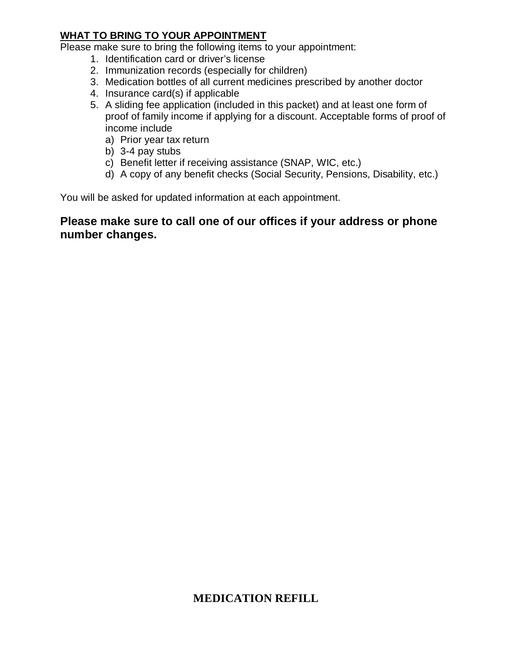#### **WHAT TO BRING TO YOUR APPOINTMENT**

Please make sure to bring the following items to your appointment:

- 1. Identification card or driver's license
- 2. Immunization records (especially for children)
- 3. Medication bottles of all current medicines prescribed by another doctor
- 4. Insurance card(s) if applicable
- 5. A sliding fee application (included in this packet) and at least one form of proof of family income if applying for a discount. Acceptable forms of proof of income include
	- a) Prior year tax return
	- b) 3-4 pay stubs
	- c) Benefit letter if receiving assistance (SNAP, WIC, etc.)
	- d) A copy of any benefit checks (Social Security, Pensions, Disability, etc.)

You will be asked for updated information at each appointment.

### **Please make sure to call one of our offices if your address or phone number changes.**

## **MEDICATION REFILL**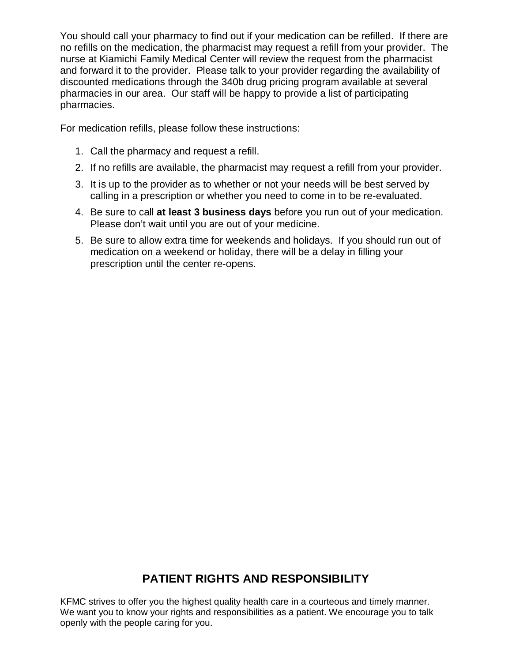You should call your pharmacy to find out if your medication can be refilled. If there are no refills on the medication, the pharmacist may request a refill from your provider. The nurse at Kiamichi Family Medical Center will review the request from the pharmacist and forward it to the provider. Please talk to your provider regarding the availability of discounted medications through the 340b drug pricing program available at several pharmacies in our area. Our staff will be happy to provide a list of participating pharmacies.

For medication refills, please follow these instructions:

- 1. Call the pharmacy and request a refill.
- 2. If no refills are available, the pharmacist may request a refill from your provider.
- 3. It is up to the provider as to whether or not your needs will be best served by calling in a prescription or whether you need to come in to be re-evaluated.
- 4. Be sure to call **at least 3 business days** before you run out of your medication. Please don't wait until you are out of your medicine.
- 5. Be sure to allow extra time for weekends and holidays. If you should run out of medication on a weekend or holiday, there will be a delay in filling your prescription until the center re-opens.

# **PATIENT RIGHTS AND RESPONSIBILITY**

KFMC strives to offer you the highest quality health care in a courteous and timely manner. We want you to know your rights and responsibilities as a patient. We encourage you to talk openly with the people caring for you.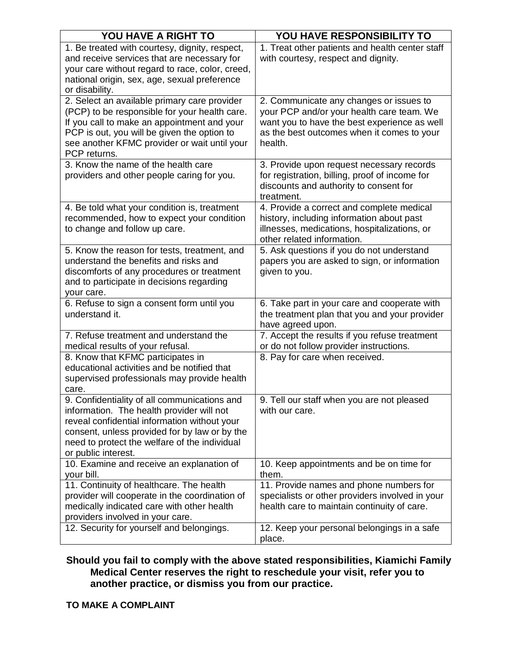| YOU HAVE A RIGHT TO                                                                        | YOU HAVE RESPONSIBILITY TO                                         |
|--------------------------------------------------------------------------------------------|--------------------------------------------------------------------|
| 1. Be treated with courtesy, dignity, respect,                                             | 1. Treat other patients and health center staff                    |
| and receive services that are necessary for                                                | with courtesy, respect and dignity.                                |
| your care without regard to race, color, creed,                                            |                                                                    |
| national origin, sex, age, sexual preference                                               |                                                                    |
| or disability.                                                                             |                                                                    |
| 2. Select an available primary care provider                                               | 2. Communicate any changes or issues to                            |
| (PCP) to be responsible for your health care.                                              | your PCP and/or your health care team. We                          |
| If you call to make an appointment and your<br>PCP is out, you will be given the option to | want you to have the best experience as well                       |
| see another KFMC provider or wait until your                                               | as the best outcomes when it comes to your<br>health.              |
| PCP returns.                                                                               |                                                                    |
| 3. Know the name of the health care                                                        | 3. Provide upon request necessary records                          |
| providers and other people caring for you.                                                 | for registration, billing, proof of income for                     |
|                                                                                            | discounts and authority to consent for                             |
|                                                                                            | treatment.                                                         |
| 4. Be told what your condition is, treatment                                               | 4. Provide a correct and complete medical                          |
| recommended, how to expect your condition                                                  | history, including information about past                          |
| to change and follow up care.                                                              | illnesses, medications, hospitalizations, or                       |
|                                                                                            | other related information.                                         |
| 5. Know the reason for tests, treatment, and                                               | 5. Ask questions if you do not understand                          |
| understand the benefits and risks and                                                      | papers you are asked to sign, or information                       |
| discomforts of any procedures or treatment                                                 | given to you.                                                      |
| and to participate in decisions regarding                                                  |                                                                    |
| your care.                                                                                 |                                                                    |
| 6. Refuse to sign a consent form until you                                                 | 6. Take part in your care and cooperate with                       |
| understand it.                                                                             | the treatment plan that you and your provider                      |
| 7. Refuse treatment and understand the                                                     | have agreed upon.<br>7. Accept the results if you refuse treatment |
| medical results of your refusal.                                                           | or do not follow provider instructions.                            |
| 8. Know that KFMC participates in                                                          | 8. Pay for care when received.                                     |
| educational activities and be notified that                                                |                                                                    |
| supervised professionals may provide health                                                |                                                                    |
| care.                                                                                      |                                                                    |
| 9. Confidentiality of all communications and                                               | 9. Tell our staff when you are not pleased                         |
| information. The health provider will not                                                  | with our care.                                                     |
| reveal confidential information without your                                               |                                                                    |
| consent, unless provided for by law or by the                                              |                                                                    |
| need to protect the welfare of the individual                                              |                                                                    |
| or public interest.                                                                        |                                                                    |
| 10. Examine and receive an explanation of                                                  | 10. Keep appointments and be on time for                           |
| your bill.                                                                                 | them.                                                              |
| 11. Continuity of healthcare. The health                                                   | 11. Provide names and phone numbers for                            |
| provider will cooperate in the coordination of                                             | specialists or other providers involved in your                    |
| medically indicated care with other health                                                 | health care to maintain continuity of care.                        |
| providers involved in your care.<br>12. Security for yourself and belongings.              |                                                                    |
|                                                                                            | 12. Keep your personal belongings in a safe<br>place.              |

#### **Should you fail to comply with the above stated responsibilities, Kiamichi Family Medical Center reserves the right to reschedule your visit, refer you to another practice, or dismiss you from our practice.**